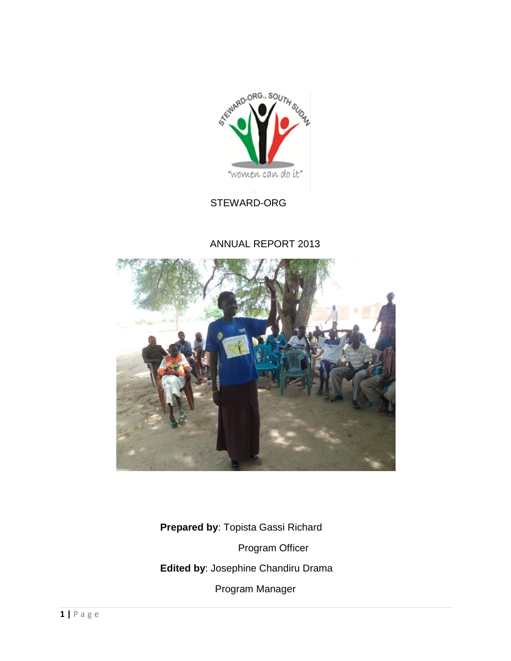

# STEWARD-ORG

## ANNUAL REPORT 2013



 **Prepared by**: Topista Gassi Richard Program Officer **Edited by**: Josephine Chandiru Drama Program Manager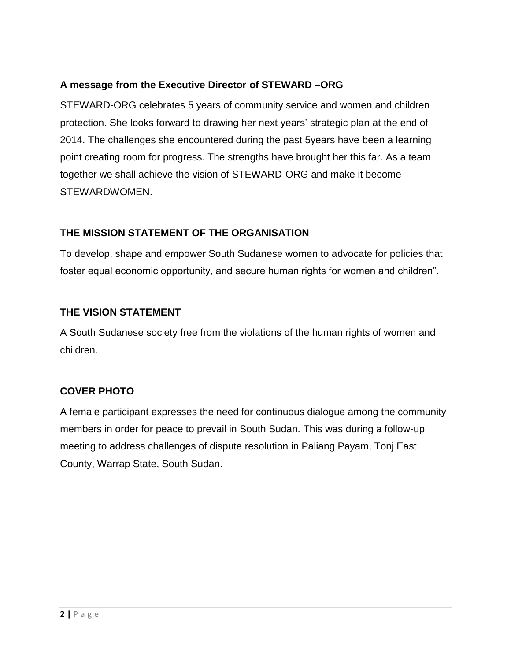## **A message from the Executive Director of STEWARD –ORG**

STEWARD-ORG celebrates 5 years of community service and women and children protection. She looks forward to drawing her next years' strategic plan at the end of 2014. The challenges she encountered during the past 5years have been a learning point creating room for progress. The strengths have brought her this far. As a team together we shall achieve the vision of STEWARD-ORG and make it become STEWARDWOMEN.

## **THE MISSION STATEMENT OF THE ORGANISATION**

To develop, shape and empower South Sudanese women to advocate for policies that foster equal economic opportunity, and secure human rights for women and children".

## **THE VISION STATEMENT**

A South Sudanese society free from the violations of the human rights of women and children.

# **COVER PHOTO**

A female participant expresses the need for continuous dialogue among the community members in order for peace to prevail in South Sudan. This was during a follow-up meeting to address challenges of dispute resolution in Paliang Payam, Tonj East County, Warrap State, South Sudan.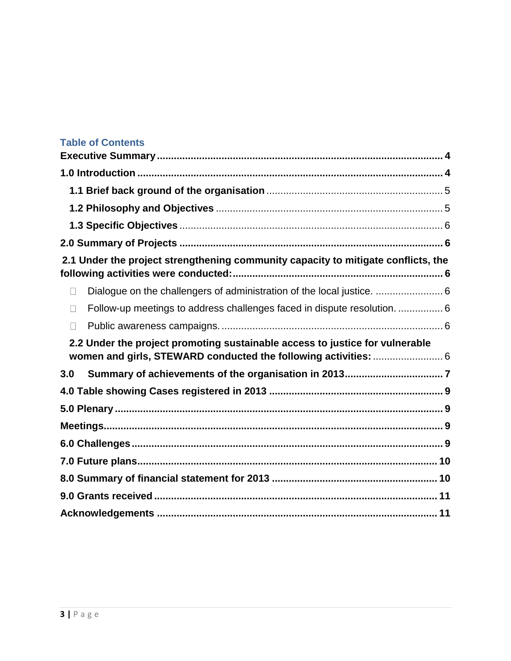# **Table of Contents**

| 2.1 Under the project strengthening community capacity to mitigate conflicts, the                                                               |  |
|-------------------------------------------------------------------------------------------------------------------------------------------------|--|
| Dialogue on the challengers of administration of the local justice.  6<br>П                                                                     |  |
| Follow-up meetings to address challenges faced in dispute resolution.  6                                                                        |  |
|                                                                                                                                                 |  |
| 2.2 Under the project promoting sustainable access to justice for vulnerable<br>women and girls, STEWARD conducted the following activities:  6 |  |
| 3.0                                                                                                                                             |  |
|                                                                                                                                                 |  |
|                                                                                                                                                 |  |
|                                                                                                                                                 |  |
|                                                                                                                                                 |  |
|                                                                                                                                                 |  |
|                                                                                                                                                 |  |
|                                                                                                                                                 |  |
|                                                                                                                                                 |  |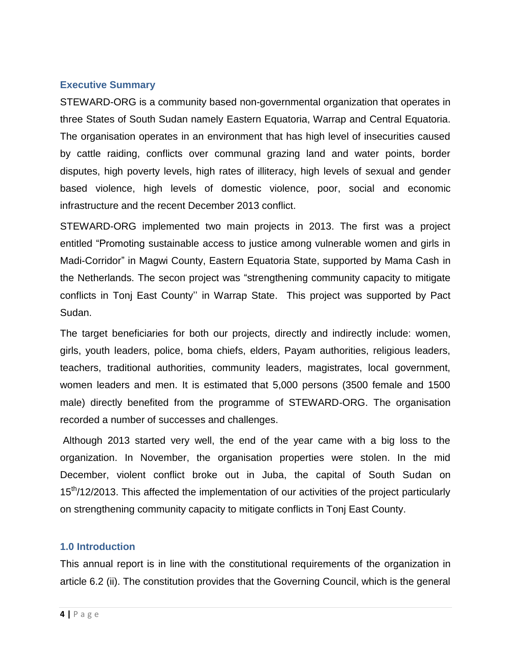### <span id="page-3-0"></span>**Executive Summary**

STEWARD-ORG is a community based non-governmental organization that operates in three States of South Sudan namely Eastern Equatoria, Warrap and Central Equatoria. The organisation operates in an environment that has high level of insecurities caused by cattle raiding, conflicts over communal grazing land and water points, border disputes, high poverty levels, high rates of illiteracy, high levels of sexual and gender based violence, high levels of domestic violence, poor, social and economic infrastructure and the recent December 2013 conflict.

STEWARD-ORG implemented two main projects in 2013. The first was a project entitled "Promoting sustainable access to justice among vulnerable women and girls in Madi-Corridor" in Magwi County, Eastern Equatoria State, supported by Mama Cash in the Netherlands. The secon project was "strengthening community capacity to mitigate conflicts in Tonj East County'' in Warrap State. This project was supported by Pact Sudan.

The target beneficiaries for both our projects, directly and indirectly include: women, girls, youth leaders, police, boma chiefs, elders, Payam authorities, religious leaders, teachers, traditional authorities, community leaders, magistrates, local government, women leaders and men. It is estimated that 5,000 persons (3500 female and 1500 male) directly benefited from the programme of STEWARD-ORG. The organisation recorded a number of successes and challenges.

Although 2013 started very well, the end of the year came with a big loss to the organization. In November, the organisation properties were stolen. In the mid December, violent conflict broke out in Juba, the capital of South Sudan on 15<sup>th</sup>/12/2013. This affected the implementation of our activities of the project particularly on strengthening community capacity to mitigate conflicts in Tonj East County.

## <span id="page-3-1"></span>**1.0 Introduction**

This annual report is in line with the constitutional requirements of the organization in article 6.2 (ii). The constitution provides that the Governing Council, which is the general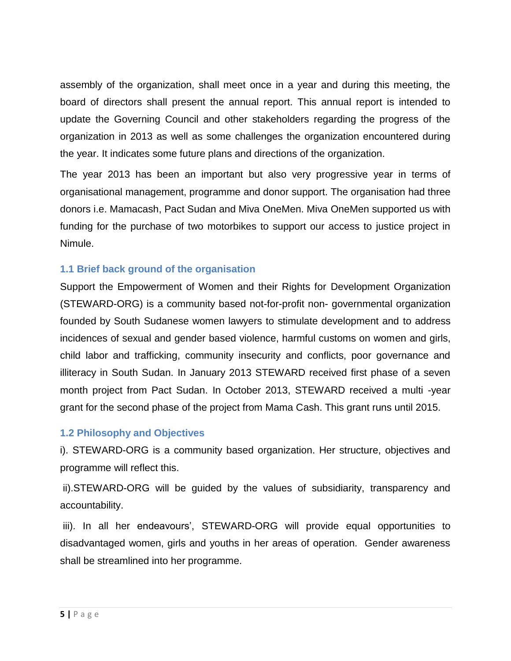assembly of the organization, shall meet once in a year and during this meeting, the board of directors shall present the annual report. This annual report is intended to update the Governing Council and other stakeholders regarding the progress of the organization in 2013 as well as some challenges the organization encountered during the year. It indicates some future plans and directions of the organization.

The year 2013 has been an important but also very progressive year in terms of organisational management, programme and donor support. The organisation had three donors i.e. Mamacash, Pact Sudan and Miva OneMen. Miva OneMen supported us with funding for the purchase of two motorbikes to support our access to justice project in Nimule.

## <span id="page-4-0"></span>**1.1 Brief back ground of the organisation**

Support the Empowerment of Women and their Rights for Development Organization (STEWARD-ORG) is a community based not-for-profit non- governmental organization founded by South Sudanese women lawyers to stimulate development and to address incidences of sexual and gender based violence, harmful customs on women and girls, child labor and trafficking, community insecurity and conflicts, poor governance and illiteracy in South Sudan. In January 2013 STEWARD received first phase of a seven month project from Pact Sudan. In October 2013, STEWARD received a multi -year grant for the second phase of the project from Mama Cash. This grant runs until 2015.

## <span id="page-4-1"></span>**1.2 Philosophy and Objectives**

i). STEWARD-ORG is a community based organization. Her structure, objectives and programme will reflect this.

ii).STEWARD-ORG will be guided by the values of subsidiarity, transparency and accountability.

iii). In all her endeavours', STEWARD-ORG will provide equal opportunities to disadvantaged women, girls and youths in her areas of operation. Gender awareness shall be streamlined into her programme.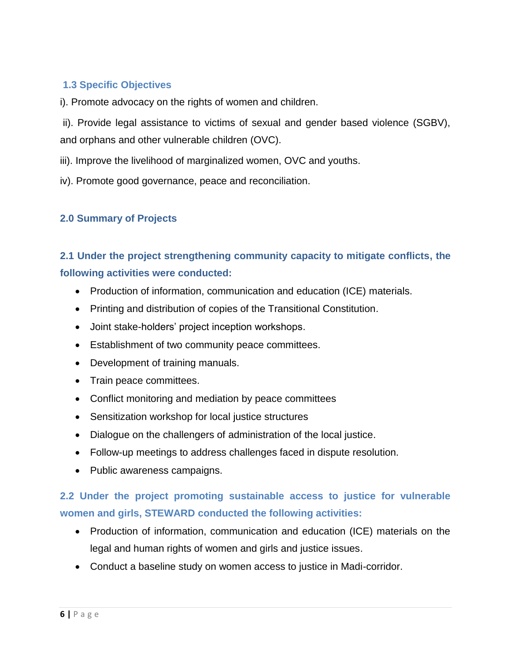# <span id="page-5-0"></span>**1.3 Specific Objectives**

i). Promote advocacy on the rights of women and children.

ii). Provide legal assistance to victims of sexual and gender based violence (SGBV), and orphans and other vulnerable children (OVC).

iii). Improve the livelihood of marginalized women, OVC and youths.

iv). Promote good governance, peace and reconciliation.

## <span id="page-5-2"></span><span id="page-5-1"></span>**2.0 Summary of Projects**

# **2.1 Under the project strengthening community capacity to mitigate conflicts, the following activities were conducted:**

- Production of information, communication and education (ICE) materials.
- Printing and distribution of copies of the Transitional Constitution.
- Joint stake-holders' project inception workshops.
- Establishment of two community peace committees.
- Development of training manuals.
- Train peace committees.
- Conflict monitoring and mediation by peace committees
- Sensitization workshop for local justice structures
- <span id="page-5-3"></span>Dialogue on the challengers of administration of the local justice.
- <span id="page-5-4"></span>Follow-up meetings to address challenges faced in dispute resolution.
- <span id="page-5-5"></span>• Public awareness campaigns.

# <span id="page-5-6"></span>**2.2 Under the project promoting sustainable access to justice for vulnerable women and girls, STEWARD conducted the following activities:**

- Production of information, communication and education (ICE) materials on the legal and human rights of women and girls and justice issues.
- Conduct a baseline study on women access to justice in Madi-corridor.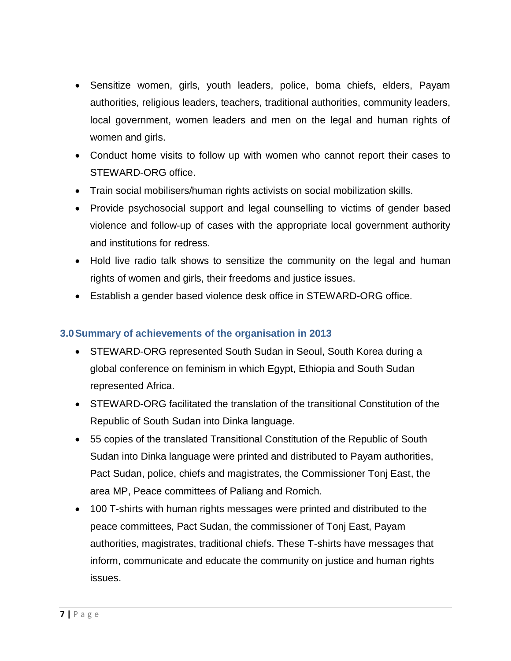- Sensitize women, girls, youth leaders, police, boma chiefs, elders, Payam authorities, religious leaders, teachers, traditional authorities, community leaders, local government, women leaders and men on the legal and human rights of women and girls.
- Conduct home visits to follow up with women who cannot report their cases to STEWARD-ORG office.
- Train social mobilisers/human rights activists on social mobilization skills.
- Provide psychosocial support and legal counselling to victims of gender based violence and follow-up of cases with the appropriate local government authority and institutions for redress.
- Hold live radio talk shows to sensitize the community on the legal and human rights of women and girls, their freedoms and justice issues.
- Establish a gender based violence desk office in STEWARD-ORG office.

## <span id="page-6-0"></span>**3.0Summary of achievements of the organisation in 2013**

- STEWARD-ORG represented South Sudan in Seoul, South Korea during a global conference on feminism in which Egypt, Ethiopia and South Sudan represented Africa.
- STEWARD-ORG facilitated the translation of the transitional Constitution of the Republic of South Sudan into Dinka language.
- 55 copies of the translated Transitional Constitution of the Republic of South Sudan into Dinka language were printed and distributed to Payam authorities, Pact Sudan, police, chiefs and magistrates, the Commissioner Tonj East, the area MP, Peace committees of Paliang and Romich.
- 100 T-shirts with human rights messages were printed and distributed to the peace committees, Pact Sudan, the commissioner of Tonj East, Payam authorities, magistrates, traditional chiefs. These T-shirts have messages that inform, communicate and educate the community on justice and human rights issues.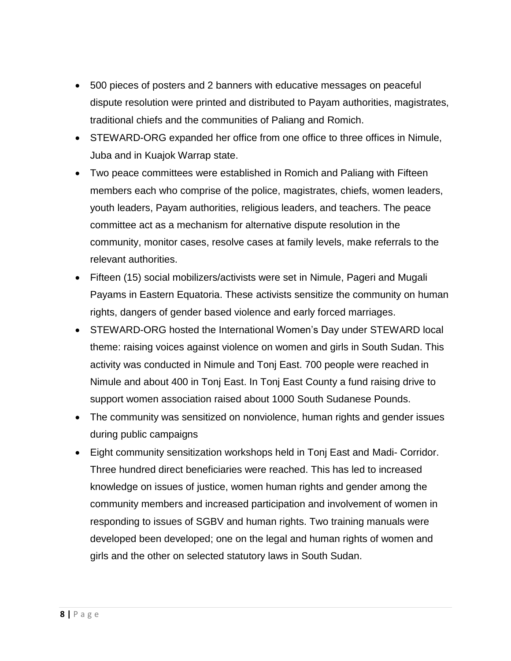- 500 pieces of posters and 2 banners with educative messages on peaceful dispute resolution were printed and distributed to Payam authorities, magistrates, traditional chiefs and the communities of Paliang and Romich.
- STEWARD-ORG expanded her office from one office to three offices in Nimule, Juba and in Kuajok Warrap state.
- Two peace committees were established in Romich and Paliang with Fifteen members each who comprise of the police, magistrates, chiefs, women leaders, youth leaders, Payam authorities, religious leaders, and teachers. The peace committee act as a mechanism for alternative dispute resolution in the community, monitor cases, resolve cases at family levels, make referrals to the relevant authorities.
- Fifteen (15) social mobilizers/activists were set in Nimule, Pageri and Mugali Payams in Eastern Equatoria. These activists sensitize the community on human rights, dangers of gender based violence and early forced marriages.
- STEWARD-ORG hosted the International Women's Day under STEWARD local theme: raising voices against violence on women and girls in South Sudan. This activity was conducted in Nimule and Tonj East. 700 people were reached in Nimule and about 400 in Tonj East. In Tonj East County a fund raising drive to support women association raised about 1000 South Sudanese Pounds.
- The community was sensitized on nonviolence, human rights and gender issues during public campaigns
- Eight community sensitization workshops held in Tonj East and Madi- Corridor. Three hundred direct beneficiaries were reached. This has led to increased knowledge on issues of justice, women human rights and gender among the community members and increased participation and involvement of women in responding to issues of SGBV and human rights. Two training manuals were developed been developed; one on the legal and human rights of women and girls and the other on selected statutory laws in South Sudan.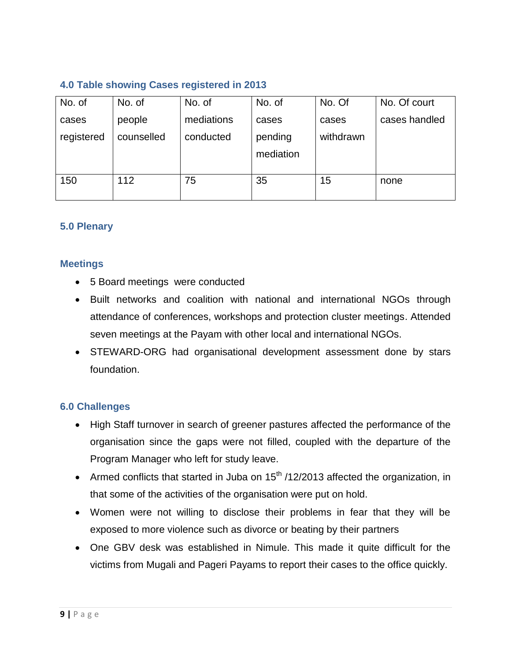# <span id="page-8-0"></span>**4.0 Table showing Cases registered in 2013**

| No. of     | No. of     | No. of     | No. of    | No. Of    | No. Of court  |
|------------|------------|------------|-----------|-----------|---------------|
| cases      | people     | mediations | cases     | cases     | cases handled |
| registered | counselled | conducted  | pending   | withdrawn |               |
|            |            |            | mediation |           |               |
|            |            |            |           |           |               |
| 150        | 112        | 75         | 35        | 15        | none          |

## <span id="page-8-2"></span><span id="page-8-1"></span>**5.0 Plenary**

#### **Meetings**

- 5 Board meetings were conducted
- Built networks and coalition with national and international NGOs through attendance of conferences, workshops and protection cluster meetings. Attended seven meetings at the Payam with other local and international NGOs.
- STEWARD-ORG had organisational development assessment done by stars foundation.

### <span id="page-8-3"></span>**6.0 Challenges**

- High Staff turnover in search of greener pastures affected the performance of the organisation since the gaps were not filled, coupled with the departure of the Program Manager who left for study leave.
- Armed conflicts that started in Juba on  $15<sup>th</sup>$  /12/2013 affected the organization, in that some of the activities of the organisation were put on hold.
- Women were not willing to disclose their problems in fear that they will be exposed to more violence such as divorce or beating by their partners
- One GBV desk was established in Nimule. This made it quite difficult for the victims from Mugali and Pageri Payams to report their cases to the office quickly.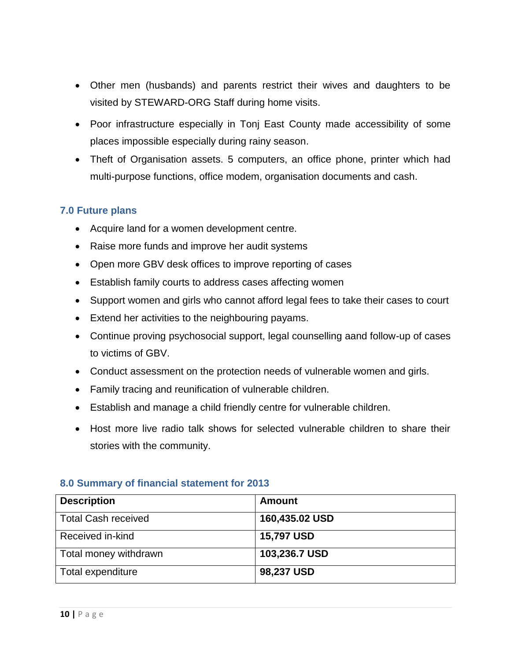- Other men (husbands) and parents restrict their wives and daughters to be visited by STEWARD-ORG Staff during home visits.
- Poor infrastructure especially in Tonj East County made accessibility of some places impossible especially during rainy season.
- Theft of Organisation assets. 5 computers, an office phone, printer which had multi-purpose functions, office modem, organisation documents and cash.

### <span id="page-9-0"></span>**7.0 Future plans**

- Acquire land for a women development centre.
- Raise more funds and improve her audit systems
- Open more GBV desk offices to improve reporting of cases
- Establish family courts to address cases affecting women
- Support women and girls who cannot afford legal fees to take their cases to court
- Extend her activities to the neighbouring payams.
- Continue proving psychosocial support, legal counselling aand follow-up of cases to victims of GBV.
- Conduct assessment on the protection needs of vulnerable women and girls.
- Family tracing and reunification of vulnerable children.
- Establish and manage a child friendly centre for vulnerable children.
- Host more live radio talk shows for selected vulnerable children to share their stories with the community.

| <b>Description</b>         | <b>Amount</b>     |
|----------------------------|-------------------|
| <b>Total Cash received</b> | 160,435.02 USD    |
| Received in-kind           | <b>15,797 USD</b> |
| Total money withdrawn      | 103,236.7 USD     |
| Total expenditure          | 98,237 USD        |

### <span id="page-9-1"></span>**8.0 Summary of financial statement for 2013**